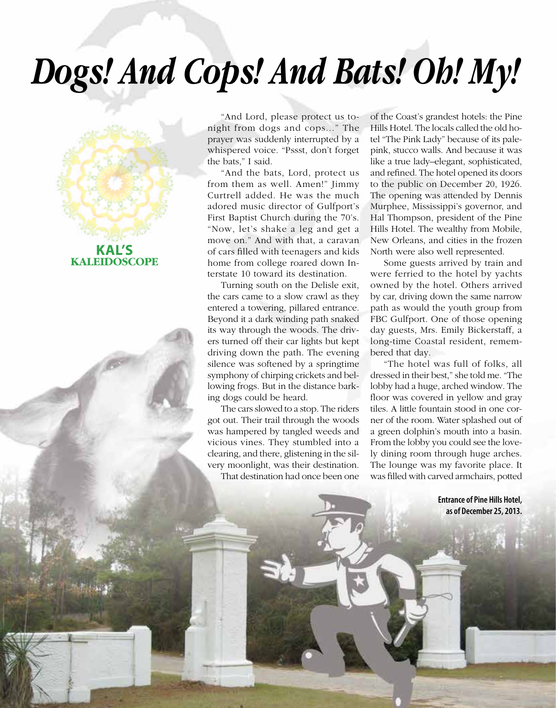## *Dogs! And Cops! And Bats! Oh! My!*



**KALEIDOSCOPE**

"And Lord, please protect us tonight from dogs and cops..." The prayer was suddenly interrupted by a whispered voice. "Pssst, don't forget the bats," I said.

"And the bats, Lord, protect us from them as well. Amen!" Jimmy Curtrell added. He was the much adored music director of Gulfport's First Baptist Church during the 70's. "Now, let's shake a leg and get a move on." And with that, a caravan of cars filled with teenagers and kids home from college roared down Interstate 10 toward its destination.

Turning south on the Delisle exit, the cars came to a slow crawl as they entered a towering, pillared entrance. Beyond it a dark winding path snaked its way through the woods. The drivers turned off their car lights but kept driving down the path. The evening silence was softened by a springtime symphony of chirping crickets and bellowing frogs. But in the distance barking dogs could be heard.

The cars slowed to a stop. The riders got out. Their trail through the woods was hampered by tangled weeds and vicious vines. They stumbled into a clearing, and there, glistening in the silvery moonlight, was their destination. That destination had once been one

1 • Spring 2014 See South Mississippi 2014 See South Mississippi 2014 See South Mississippi 2014 See South Mississippi 2014

of the Coast's grandest hotels: the Pine Hills Hotel. The locals called the old hotel "The Pink Lady" because of its palepink, stucco walls. And because it was like a true lady–elegant, sophisticated, and refined. The hotel opened its doors to the public on December 20, 1926. The opening was attended by Dennis Murphee, Mississippi's governor, and Hal Thompson, president of the Pine Hills Hotel. The wealthy from Mobile, New Orleans, and cities in the frozen North were also well represented.

Some guests arrived by train and were ferried to the hotel by yachts owned by the hotel. Others arrived by car, driving down the same narrow path as would the youth group from FBC Gulfport. One of those opening day guests, Mrs. Emily Bickerstaff, a long-time Coastal resident, remembered that day.

"The hotel was full of folks, all dressed in their best," she told me. "The lobby had a huge, arched window. The floor was covered in yellow and gray tiles. A little fountain stood in one corner of the room. Water splashed out of a green dolphin's mouth into a basin. From the lobby you could see the lovely dining room through huge arches. The lounge was my favorite place. It was filled with carved armchairs, potted

> **Entrance of Pine Hills Hotel, as of December 25, 2013.**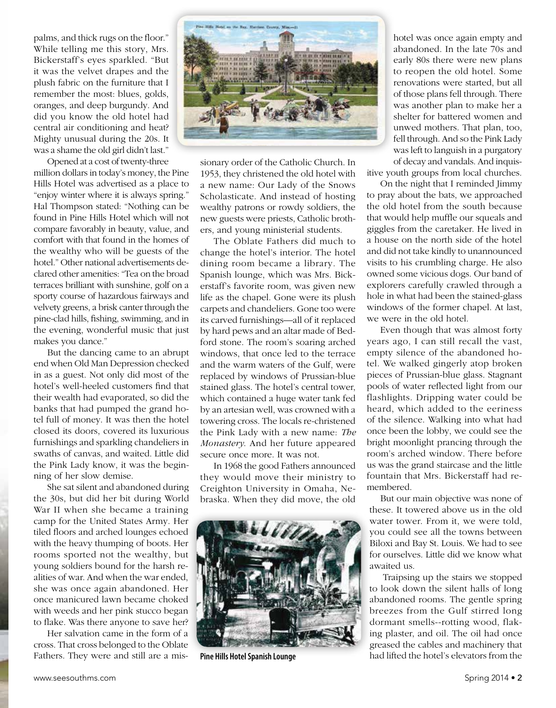palms, and thick rugs on the floor." While telling me this story, Mrs. Bickerstaff's eyes sparkled. "But it was the velvet drapes and the plush fabric on the furniture that I remember the most: blues, golds, oranges, and deep burgundy. And did you know the old hotel had central air conditioning and heat? Mighty unusual during the 20s. It was a shame the old girl didn't last."

Opened at a cost of twenty-three million dollars in today's money, the Pine Hills Hotel was advertised as a place to "enjoy winter where it is always spring." Hal Thompson stated: "Nothing can be found in Pine Hills Hotel which will not compare favorably in beauty, value, and comfort with that found in the homes of the wealthy who will be guests of the hotel." Other national advertisements declared other amenities: "Tea on the broad terraces brilliant with sunshine, golf on a sporty course of hazardous fairways and velvety greens, a brisk canter through the pine-clad hills, fishing, swimming, and in the evening, wonderful music that just makes you dance."

But the dancing came to an abrupt end when Old Man Depression checked in as a guest. Not only did most of the hotel's well-heeled customers find that their wealth had evaporated, so did the banks that had pumped the grand hotel full of money. It was then the hotel closed its doors, covered its luxurious furnishings and sparkling chandeliers in swaths of canvas, and waited. Little did the Pink Lady know, it was the beginning of her slow demise.

She sat silent and abandoned during the 30s, but did her bit during World War II when she became a training camp for the United States Army. Her tiled floors and arched lounges echoed with the heavy thumping of boots. Her rooms sported not the wealthy, but young soldiers bound for the harsh realities of war. And when the war ended, she was once again abandoned. Her once manicured lawn became choked with weeds and her pink stucco began to flake. Was there anyone to save her?

Her salvation came in the form of a cross. That cross belonged to the Oblate Fathers. They were and still are a mis-



sionary order of the Catholic Church. In 1953, they christened the old hotel with a new name: Our Lady of the Snows Scholasticate. And instead of hosting wealthy patrons or rowdy soldiers, the new guests were priests, Catholic brothers, and young ministerial students.

The Oblate Fathers did much to change the hotel's interior. The hotel dining room became a library. The Spanish lounge, which was Mrs. Bickerstaff's favorite room, was given new life as the chapel. Gone were its plush carpets and chandeliers. Gone too were its carved furnishings—all of it replaced by hard pews and an altar made of Bedford stone. The room's soaring arched windows, that once led to the terrace and the warm waters of the Gulf, were replaced by windows of Prussian-blue stained glass. The hotel's central tower, which contained a huge water tank fed by an artesian well, was crowned with a towering cross. The locals re-christened the Pink Lady with a new name: *The Monastery*. And her future appeared secure once more. It was not.

In 1968 the good Fathers announced they would move their ministry to Creighton University in Omaha, Nebraska. When they did move, the old



hotel was once again empty and abandoned. In the late 70s and early 80s there were new plans to reopen the old hotel. Some renovations were started, but all of those plans fell through. There was another plan to make her a shelter for battered women and unwed mothers. That plan, too, fell through. And so the Pink Lady was left to languish in a purgatory of decay and vandals. And inquis-

itive youth groups from local churches.

On the night that I reminded Jimmy to pray about the bats, we approached the old hotel from the south because that would help muffle our squeals and giggles from the caretaker. He lived in a house on the north side of the hotel and did not take kindly to unannounced visits to his crumbling charge. He also owned some vicious dogs. Our band of explorers carefully crawled through a hole in what had been the stained-glass windows of the former chapel. At last, we were in the old hotel.

Even though that was almost forty years ago, I can still recall the vast, empty silence of the abandoned hotel. We walked gingerly atop broken pieces of Prussian-blue glass. Stagnant pools of water reflected light from our flashlights. Dripping water could be heard, which added to the eeriness of the silence. Walking into what had once been the lobby, we could see the bright moonlight prancing through the room's arched window. There before us was the grand staircase and the little fountain that Mrs. Bickerstaff had remembered.

But our main objective was none of these. It towered above us in the old water tower. From it, we were told, you could see all the towns between Biloxi and Bay St. Louis. We had to see for ourselves. Little did we know what awaited us.

Traipsing up the stairs we stopped to look down the silent halls of long abandoned rooms. The gentle spring breezes from the Gulf stirred long dormant smells--rotting wood, flaking plaster, and oil. The oil had once greased the cables and machinery that **Pine Hills Hotel Spanish Lounge** had lifted the hotel's elevators from the